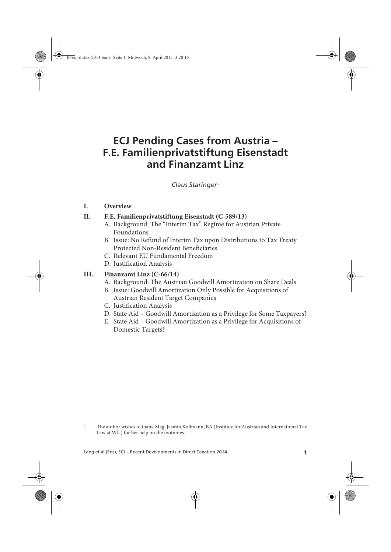# **ECJ Pending Cases from Austria – F.E. Familienprivatstiftung Eisenstadt and Finanzamt Linz**

 $Claus Staringer<sup>1</sup>$ 

#### **I. Overview**

#### **II. F.E. Familienprivatstiftung Eisenstadt (C-589/13)**

- A. Background: The "Interim Tax" Regime for Austrian Private Foundations
- B. Issue: No Refund of Interim Tax upon Distributions to Tax Treaty Protected Non-Resident Beneficiaries
- C. Relevant EU Fundamental Freedom
- D. Justification Analysis

#### **III. Finanzamt Linz (C-66/14)**

- A. Background: The Austrian Goodwill Amortization on Share Deals
- B. Issue: Goodwill Amortization Only Possible for Acquisitions of Austrian Resident Target Companies
- C. Justification Analysis
- D. State Aid Goodwill Amortization as a Privilege for Some Taxpayers?
- E. State Aid Goodwill Amortization as a Privilege for Acquisitions of Domestic Targets?

<sup>1</sup> The author wishes to thank Mag. Jasmin Kollmann, BA (Institute for Austrian and International Tax Law at WU) for her help on the footnotes.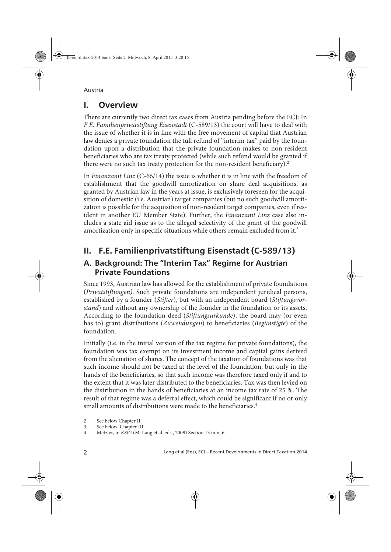# **I. Overview**

There are currently two direct tax cases from Austria pending before the ECJ: In F.E. Familienprivatstiftung Eisenstadt (C-589/13) the court will have to deal with the issue of whether it is in line with the free movement of capital that Austrian law denies a private foundation the full refund of "interim tax" paid by the foundation upon a distribution that the private foundation makes to non-resident beneficiaries who are tax treaty protected (while such refund would be granted if there were no such tax treaty protection for the non-resident beneficiary).<sup>2</sup>

In Finanzamt Linz (C-66/14) the issue is whether it is in line with the freedom of establishment that the goodwill amortization on share deal acquisitions, as granted by Austrian law in the years at issue, is exclusively foreseen for the acquisition of domestic (i.e. Austrian) target companies (but no such goodwill amortization is possible for the acquisition of non-resident target companies, even if resident in another EU Member State). Further, the Finanzamt Linz case also includes a state aid issue as to the alleged selectivity of the grant of the goodwill amortization only in specific situations while others remain excluded from it.<sup>3</sup>

# **II. F.E. Familienprivatstiftung Eisenstadt (C-589/13)**

### **A. Background: The "Interim Tax" Regime for Austrian Private Foundations**

Since 1993, Austrian law has allowed for the establishment of private foundations (Privatstiftungen). Such private foundations are independent juridical persons, established by a founder (Stifter), but with an independent board (Stiftungsvorstand) and without any ownership of the founder in the foundation or its assets. According to the foundation deed (Stiftungsurkunde), the board may (or even has to) grant distributions (Zuwendungen) to beneficiaries (Begünstigte) of the foundation.

Initially (i.e. in the initial version of the tax regime for private foundations), the foundation was tax exempt on its investment income and capital gains derived from the alienation of shares. The concept of the taxation of foundations was that such income should not be taxed at the level of the foundation, but only in the hands of the beneficiaries, so that such income was therefore taxed only if and to the extent that it was later distributed to the beneficiaries. Tax was then levied on the distribution in the hands of beneficiaries at an income tax rate of 25 %. The result of that regime was a deferral effect, which could be significant if no or only small amounts of distributions were made to the beneficiaries.<sup>4</sup>

<sup>2</sup> See below Chapter II.

<sup>3</sup> See below, Chapter III.

<sup>4</sup> Metzler, in KStG (M. Lang et al. eds., 2009) Section 13 m.n. 6.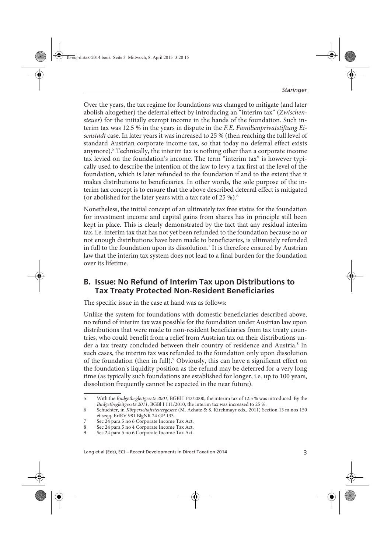Over the years, the tax regime for foundations was changed to mitigate (and later abolish altogether) the deferral effect by introducing an "interim tax" (Zwischensteuer) for the initially exempt income in the hands of the foundation. Such interim tax was 12.5 % in the years in dispute in the F.E. Familienprivatstiftung Eisenstadt case. In later years it was increased to 25 % (then reaching the full level of standard Austrian corporate income tax, so that today no deferral effect exists anymore).<sup>5</sup> Technically, the interim tax is nothing other than a corporate income tax levied on the foundation's income. The term "interim tax" is however typically used to describe the intention of the law to levy a tax first at the level of the foundation, which is later refunded to the foundation if and to the extent that it makes distributions to beneficiaries. In other words, the sole purpose of the interim tax concept is to ensure that the above described deferral effect is mitigated (or abolished for the later years with a tax rate of  $25\%$ ).<sup>6</sup>

Nonetheless, the initial concept of an ultimately tax free status for the foundation for investment income and capital gains from shares has in principle still been kept in place. This is clearly demonstrated by the fact that any residual interim tax, i.e. interim tax that has not yet been refunded to the foundation because no or not enough distributions have been made to beneficiaries, is ultimately refunded in full to the foundation upon its dissolution.<sup>7</sup> It is therefore ensured by Austrian law that the interim tax system does not lead to a final burden for the foundation over its lifetime.

#### **B. Issue: No Refund of Interim Tax upon Distributions to Tax Treaty Protected Non-Resident Beneficiaries**

The specific issue in the case at hand was as follows:

Unlike the system for foundations with domestic beneficiaries described above, no refund of interim tax was possible for the foundation under Austrian law upon distributions that were made to non-resident beneficiaries from tax treaty countries, who could benefit from a relief from Austrian tax on their distributions under a tax treaty concluded between their country of residence and Austria.<sup>8</sup> In such cases, the interim tax was refunded to the foundation only upon dissolution of the foundation (then in full).<sup>9</sup> Obviously, this can have a significant effect on the foundation's liquidity position as the refund may be deferred for a very long time (as typically such foundations are established for longer, i.e. up to 100 years, dissolution frequently cannot be expected in the near future).

<sup>5</sup> With the Budgetbegleitgesetz 2001, BGBl I 142/2000, the interim tax of 12.5 % was introduced. By the Budgetbegleitgesetz 2011, BGBl I 111/2010, the interim tax was increased to 25 %.

<sup>6</sup> Schuchter, in Körperschaftsteuergesetz (M. Achatz & S. Kirchmayr eds., 2011) Section 13 m.nos 150 et seqq, ErlRV 981 BlgNR 24 GP 133.

<sup>7</sup> Sec 24 para 5 no 6 Corporate Income Tax Act.

<sup>8</sup> Sec 24 para 5 no 4 Corporate Income Tax Act.<br>9 Sec 24 para 5 no 6 Corporate Income Tax Act.

<sup>9</sup> Sec 24 para 5 no 6 Corporate Income Tax Act.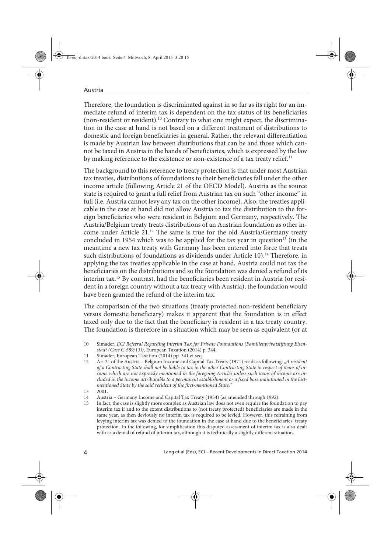Therefore, the foundation is discriminated against in so far as its right for an immediate refund of interim tax is dependent on the tax status of its beneficiaries (non-resident or resident).<sup>10</sup> Contrary to what one might expect, the discrimination in the case at hand is not based on a different treatment of distributions to domestic and foreign beneficiaries in general. Rather, the relevant differentiation is made by Austrian law between distributions that can be and those which cannot be taxed in Austria in the hands of beneficiaries, which is expressed by the law by making reference to the existence or non-existence of a tax treaty relief.<sup>11</sup>

The background to this reference to treaty protection is that under most Austrian tax treaties, distributions of foundations to their beneficiaries fall under the other income article (following Article 21 of the OECD Model). Austria as the source state is required to grant a full relief from Austrian tax on such "other income" in full (i.e. Austria cannot levy any tax on the other income). Also, the treaties applicable in the case at hand did not allow Austria to tax the distribution to the foreign beneficiaries who were resident in Belgium and Germany, respectively. The Austria/Belgium treaty treats distributions of an Austrian foundation as other income under Article 21.<sup>12</sup> The same is true for the old Austria/Germany treaty concluded in 1954 which was to be applied for the tax year in question $13$  (in the meantime a new tax treaty with Germany has been entered into force that treats such distributions of foundations as dividends under Article 10).<sup>14</sup> Therefore, in applying the tax treaties applicable in the case at hand, Austria could not tax the beneficiaries on the distributions and so the foundation was denied a refund of its interim tax.15 By contrast, had the beneficiaries been resident in Austria (or resident in a foreign country without a tax treaty with Austria), the foundation would have been granted the refund of the interim tax.

The comparison of the two situations (treaty protected non-resident beneficiary versus domestic beneficiary) makes it apparent that the foundation is in effect taxed only due to the fact that the beneficiary is resident in a tax treaty country. The foundation is therefore in a situation which may be seen as equivalent (or at

<sup>10</sup> Simader, ECJ Referral Regarding Interim Tax for Private Foundations (Familienprivatstiftung Eisenstadt (Case C-589/13)), European Taxation (2014) p. 344.

<sup>11</sup> Simader, European Taxation (2014) pp. 341 et seq.

<sup>12</sup> Art 21 of the Austria - Belgium Income and Capital Tax Treaty (1971) reads as following: "A resident of a Contracting State shall not be liable to tax in the other Contracting State in respect of items of income which are not expressly mentioned in the foregoing Articles unless such items of income are included in the income attributable to a permanent establishment or a fixed base maintained in the lastmentioned State by the said resident of the first-mentioned State."

<sup>13 2001.</sup>

<sup>14</sup> Austria – Germany Income and Capital Tax Treaty (1954) (as amended through 1992).

<sup>15</sup> In fact, the case is slightly more complex as Austrian law does not even require the foundation to pay interim tax if and to the extent distributions to (not treaty protected) beneficiaries are made in the same year, as then deviously no interim tax is required to be levied. However, this refraining from levying interim tax was denied to the foundation in the case at hand due to the beneficiaries' treaty protection. In the following, for simplification this disputed assessment of interim tax is also dealt with as a denial of refund of interim tax, although it is technically a slightly different situation.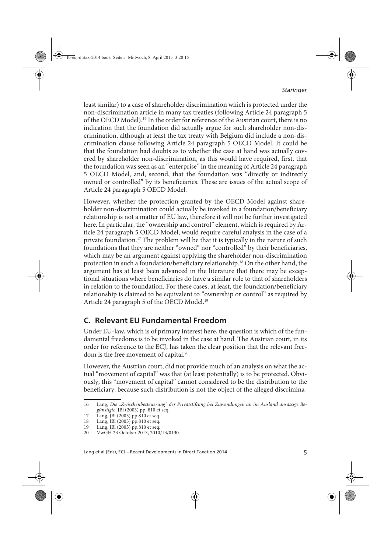least similar) to a case of shareholder discrimination which is protected under the non-discrimination article in many tax treaties (following Article 24 paragraph 5 of the OECD Model).16 In the order for reference of the Austrian court, there is no indication that the foundation did actually argue for such shareholder non-discrimination, although at least the tax treaty with Belgium did include a non-discrimination clause following Article 24 paragraph 5 OECD Model. It could be that the foundation had doubts as to whether the case at hand was actually covered by shareholder non-discrimination, as this would have required, first, that the foundation was seen as an "enterprise" in the meaning of Article 24 paragraph 5 OECD Model, and, second, that the foundation was "directly or indirectly owned or controlled" by its beneficiaries. These are issues of the actual scope of Article 24 paragraph 5 OECD Model.

However, whether the protection granted by the OECD Model against shareholder non-discrimination could actually be invoked in a foundation/beneficiary relationship is not a matter of EU law, therefore it will not be further investigated here. In particular, the "ownership and control" element, which is required by Article 24 paragraph 5 OECD Model, would require careful analysis in the case of a private foundation.<sup>17</sup> The problem will be that it is typically in the nature of such foundations that they are neither "owned" nor "controlled" by their beneficiaries, which may be an argument against applying the shareholder non-discrimination protection in such a foundation/beneficiary relationship.18 On the other hand, the argument has at least been advanced in the literature that there may be exceptional situations where beneficiaries do have a similar role to that of shareholders in relation to the foundation. For these cases, at least, the foundation/beneficiary relationship is claimed to be equivalent to "ownership or control" as required by Article 24 paragraph 5 of the OECD Model.<sup>19</sup>

### **C. Relevant EU Fundamental Freedom**

Under EU-law, which is of primary interest here, the question is which of the fundamental freedoms is to be invoked in the case at hand. The Austrian court, in its order for reference to the ECJ, has taken the clear position that the relevant freedom is the free movement of capital.<sup>20</sup>

However, the Austrian court, did not provide much of an analysis on what the actual "movement of capital" was that (at least potentially) is to be protected. Obviously, this "movement of capital" cannot considered to be the distribution to the beneficiary, because such distribution is not the object of the alleged discrimina-

<sup>16</sup> Lang, Die "Zwischenbesteuerung" der Privatstiftung bei Zuwendungen an im Ausland ansässige Begünstigte, JBl (2003) pp. 810 et seq.

<sup>17</sup> Lang, JBl (2003) pp.810 et seq.

<sup>18</sup> Lang, JBl (2003) pp.810 et seq.

<sup>19</sup> Lang, JBl (2003) pp.810 et seq.

<sup>20</sup> VwGH 23 October 2013, 2010/13/0130.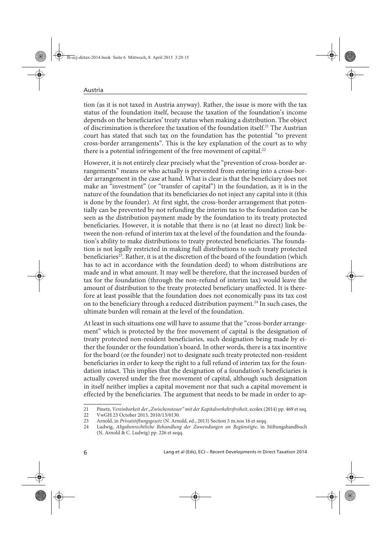tion (as it is not taxed in Austria anyway). Rather, the issue is more with the tax status of the foundation itself, because the taxation of the foundation's income depends on the beneficiaries' treaty status when making a distribution. The object of discrimination is therefore the taxation of the foundation itself.21 The Austrian court has stated that such tax on the foundation has the potential "to prevent cross-border arrangements". This is the key explanation of the court as to why there is a potential infringement of the free movement of capital.<sup>22</sup>

However, it is not entirely clear precisely what the "prevention of cross-border arrangements" means or who actually is prevented from entering into a cross-border arrangement in the case at hand. What is clear is that the beneficiary does not make an "investment" (or "transfer of capital") in the foundation, as it is in the nature of the foundation that its beneficiaries do not inject any capital into it (this is done by the founder). At first sight, the cross-border arrangement that potentially can be prevented by not refunding the interim tax to the foundation can be seen as the distribution payment made by the foundation to its treaty protected beneficiaries. However, it is notable that there is no (at least no direct) link between the non-refund of interim tax at the level of the foundation and the foundation's ability to make distributions to treaty protected beneficiaries. The foundation is not legally restricted in making full distributions to such treaty protected beneficiaries<sup>23</sup>. Rather, it is at the discretion of the board of the foundation (which has to act in accordance with the foundation deed) to whom distributions are made and in what amount. It may well be therefore, that the increased burden of tax for the foundation (through the non-refund of interim tax) would leave the amount of distribution to the treaty protected beneficiary unaffected. It is therefore at least possible that the foundation does not economically pass its tax cost on to the beneficiary through a reduced distribution payment.<sup>24</sup> In such cases, the ultimate burden will remain at the level of the foundation.

At least in such situations one will have to assume that the "cross-border arrangement" which is protected by the free movement of capital is the designation of treaty protected non-resident beneficiaries, such designation being made by either the founder or the foundation's board. In other words, there is a tax incentive for the board (or the founder) not to designate such treaty protected non-resident beneficiaries in order to keep the right to a full refund of interim tax for the foundation intact. This implies that the designation of a foundation's beneficiaries is actually covered under the free movement of capital, although such designation in itself neither implies a capital movement nor that such a capital movement is effected by the beneficiaries. The argument that needs to be made in order to ap-

<sup>21</sup> Pinetz, Vereinbarkeit der "Zwischensteuer" mit der Kapitalverkehrsfreiheit, ecolex (2014) pp. 469 et seq.

<sup>22</sup> VwGH 23 October 2013, 2010/13/0130.

<sup>23</sup> Arnold, in Privatstiftungsgesetz (N. Arnold, ed., 2013) Section 5 m.nos 16 et seqq.

<sup>24</sup> Ludwig, Abgabenrechtliche Behandlung der Zuwendungen an Begünstigte, in Stiftungshandbuch (N. Arnold & C. Ludwig) pp. 226 et seqq.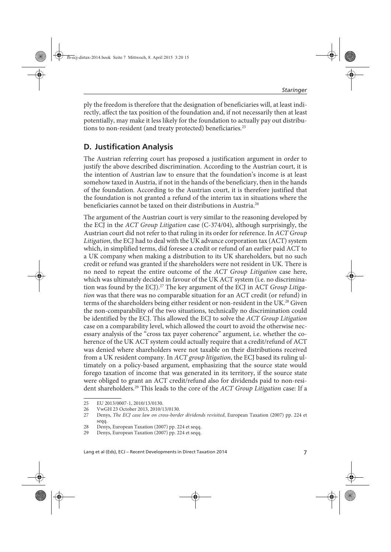ply the freedom is therefore that the designation of beneficiaries will, at least indirectly, affect the tax position of the foundation and, if not necessarily then at least potentially, may make it less likely for the foundation to actually pay out distributions to non-resident (and treaty protected) beneficiaries.<sup>25</sup>

### **D. Justification Analysis**

The Austrian referring court has proposed a justification argument in order to justify the above described discrimination. According to the Austrian court, it is the intention of Austrian law to ensure that the foundation's income is at least somehow taxed in Austria, if not in the hands of the beneficiary, then in the hands of the foundation. According to the Austrian court, it is therefore justified that the foundation is not granted a refund of the interim tax in situations where the beneficiaries cannot be taxed on their distributions in Austria.<sup>26</sup>

The argument of the Austrian court is very similar to the reasoning developed by the ECJ in the ACT Group Litigation case (C-374/04), although surprisingly, the Austrian court did not refer to that ruling in its order for reference. In ACT Group Litigation, the ECJ had to deal with the UK advance corporation tax (ACT) system which, in simplified terms, did foresee a credit or refund of an earlier paid ACT to a UK company when making a distribution to its UK shareholders, but no such credit or refund was granted if the shareholders were not resident in UK. There is no need to repeat the entire outcome of the ACT Group Litigation case here, which was ultimately decided in favour of the UK ACT system (i.e. no discrimination was found by the ECJ).<sup>27</sup> The key argument of the ECJ in ACT Group Litigation was that there was no comparable situation for an ACT credit (or refund) in terms of the shareholders being either resident or non-resident in the UK.<sup>28</sup> Given the non-comparability of the two situations, technically no discrimination could be identified by the ECJ. This allowed the ECJ to solve the ACT Group Litigation case on a comparability level, which allowed the court to avoid the otherwise necessary analysis of the "cross tax payer coherence" argument, i.e. whether the coherence of the UK ACT system could actually require that a credit/refund of ACT was denied where shareholders were not taxable on their distributions received from a UK resident company. In ACT group litigation, the ECJ based its ruling ultimately on a policy-based argument, emphasizing that the source state would forego taxation of income that was generated in its territory, if the source state were obliged to grant an ACT credit/refund also for dividends paid to non-resident shareholders.<sup>29</sup> This leads to the core of the  $ACT$  Group Litigation case: If a

<sup>25</sup> EU 2013/0007-1, 2010/13/0130.

<sup>26</sup> VwGH 23 October 2013, 2010/13/0130.

<sup>27</sup> Denys, The ECJ case law on cross-border dividends revisited, European Taxation (2007) pp. 224 et seqq.

<sup>28</sup> Denys, European Taxation (2007) pp. 224 et seqq.

<sup>29</sup> Denys, European Taxation (2007) pp. 224 et seqq.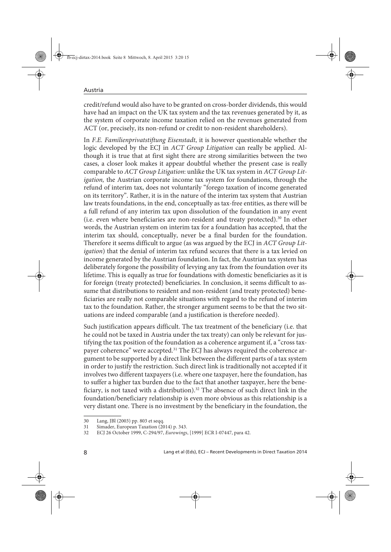credit/refund would also have to be granted on cross-border dividends, this would have had an impact on the UK tax system and the tax revenues generated by it, as the system of corporate income taxation relied on the revenues generated from ACT (or, precisely, its non-refund or credit to non-resident shareholders).

In F.E. Familienprivatstiftung Eisenstadt, it is however questionable whether the logic developed by the ECJ in ACT Group Litigation can really be applied. Although it is true that at first sight there are strong similarities between the two cases, a closer look makes it appear doubtful whether the present case is really comparable to ACT Group Litigation: unlike the UK tax system in ACT Group Litigation, the Austrian corporate income tax system for foundations, through the refund of interim tax, does not voluntarily "forego taxation of income generated on its territory". Rather, it is in the nature of the interim tax system that Austrian law treats foundations, in the end, conceptually as tax-free entities, as there will be a full refund of any interim tax upon dissolution of the foundation in any event (i.e. even where beneficiaries are non-resident and treaty protected).30 In other words, the Austrian system on interim tax for a foundation has accepted, that the interim tax should, conceptually, never be a final burden for the foundation. Therefore it seems difficult to argue (as was argued by the ECJ in ACT Group Litigation) that the denial of interim tax refund secures that there is a tax levied on income generated by the Austrian foundation. In fact, the Austrian tax system has deliberately forgone the possibility of levying any tax from the foundation over its lifetime. This is equally as true for foundations with domestic beneficiaries as it is for foreign (treaty protected) beneficiaries. In conclusion, it seems difficult to assume that distributions to resident and non-resident (and treaty protected) beneficiaries are really not comparable situations with regard to the refund of interim tax to the foundation. Rather, the stronger argument seems to be that the two situations are indeed comparable (and a justification is therefore needed).

Such justification appears difficult. The tax treatment of the beneficiary (i.e. that he could not be taxed in Austria under the tax treaty) can only be relevant for justifying the tax position of the foundation as a coherence argument if, a "cross taxpayer coherence" were accepted.<sup>31</sup> The ECJ has always required the coherence argument to be supported by a direct link between the different parts of a tax system in order to justify the restriction. Such direct link is traditionally not accepted if it involves two different taxpayers (i.e. where one taxpayer, here the foundation, has to suffer a higher tax burden due to the fact that another taxpayer, here the beneficiary, is not taxed with a distribution).<sup>32</sup> The absence of such direct link in the foundation/beneficiary relationship is even more obvious as this relationship is a very distant one. There is no investment by the beneficiary in the foundation, the

<sup>30</sup> Lang, JBl (2003) pp. 803 et seqq.

<sup>31</sup> Simader, European Taxation (2014) p. 343.

<sup>32</sup> ECJ 26 October 1999, C-294/97, Eurowings, [1999] ECR I-07447, para 42.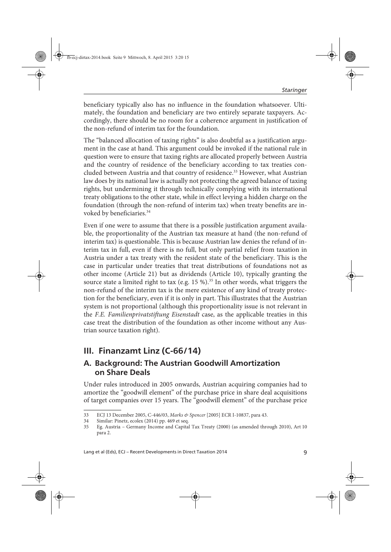beneficiary typically also has no influence in the foundation whatsoever. Ultimately, the foundation and beneficiary are two entirely separate taxpayers. Accordingly, there should be no room for a coherence argument in justification of the non-refund of interim tax for the foundation.

The "balanced allocation of taxing rights" is also doubtful as a justification argument in the case at hand. This argument could be invoked if the national rule in question were to ensure that taxing rights are allocated properly between Austria and the country of residence of the beneficiary according to tax treaties concluded between Austria and that country of residence.<sup>33</sup> However, what Austrian law does by its national law is actually not protecting the agreed balance of taxing rights, but undermining it through technically complying with its international treaty obligations to the other state, while in effect levying a hidden charge on the foundation (through the non-refund of interim tax) when treaty benefits are invoked by beneficiaries.<sup>34</sup>

Even if one were to assume that there is a possible justification argument available, the proportionality of the Austrian tax measure at hand (the non-refund of interim tax) is questionable. This is because Austrian law denies the refund of interim tax in full, even if there is no full, but only partial relief from taxation in Austria under a tax treaty with the resident state of the beneficiary. This is the case in particular under treaties that treat distributions of foundations not as other income (Article 21) but as dividends (Article 10), typically granting the source state a limited right to tax (e.g.  $15\%$ ).<sup>35</sup> In other words, what triggers the non-refund of the interim tax is the mere existence of any kind of treaty protection for the beneficiary, even if it is only in part. This illustrates that the Austrian system is not proportional (although this proportionality issue is not relevant in the F.E. Familienprivatstiftung Eisenstadt case, as the applicable treaties in this case treat the distribution of the foundation as other income without any Austrian source taxation right).

# **III. Finanzamt Linz (C-66/14)**

#### **A. Background: The Austrian Goodwill Amortization on Share Deals**

Under rules introduced in 2005 onwards, Austrian acquiring companies had to amortize the "goodwill element" of the purchase price in share deal acquisitions of target companies over 15 years. The "goodwill element" of the purchase price

<sup>33</sup> ECJ 13 December 2005, C-446/03, Marks & Spencer [2005] ECR I-10837, para 43.

<sup>34</sup> Similar: Pinetz, ecolex (2014) pp. 469 et seq.

<sup>35</sup> Eg. Austria – Germany Income and Capital Tax Treaty (2000) (as amended through 2010), Art 10 para 2.